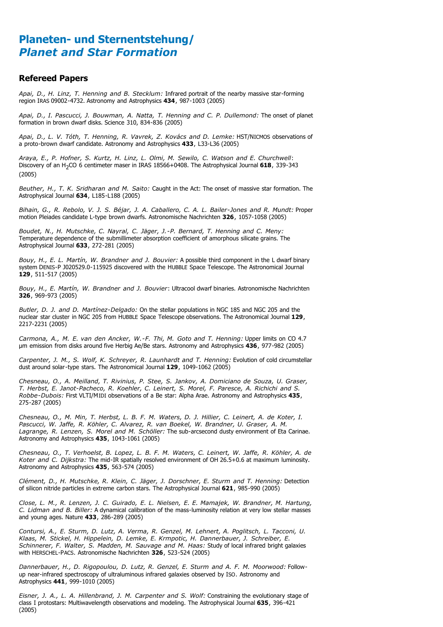## **Planeten- und Sternentstehung/** *Planet and Star Formation*

#### **Refereed Papers**

*Apai, D., H. Linz, T. Henning and B. Stecklum:* Infrared portrait of the nearby massive star-forming region IRAS 09002-4732. Astronomy and Astrophysics **434**, 987-1003 (2005)

*Apai, D., I. Pascucci, J. Bouwman, A. Natta, T. Henning and C. P. Dullemond:* The onset of planet formation in brown dwarf disks. Science 310, 834-836 (2005)

*Apai, D., L. V. Tóth, T. Henning, R. Vavrek, Z. Kovács and D. Lemke:* HST/NICMOS observations of a proto-brown dwarf candidate. Astronomy and Astrophysics **433**, L33-L36 (2005)

*Araya, E., P. Hofner, S. Kurtz, H. Linz, L. Olmi, M. Sewilo, C. Watson and E. Churchwell*: Discovery of an H2CO 6 centimeter maser in IRAS 18566+0408. The Astrophysical Journal **618**, 339-343 (2005)

*Beuther, H., T. K. Sridharan and M. Saito:* Caught in the Act: The onset of massive star formation. The Astrophysical Journal **634**, L185-L188 (2005)

*Bihain, G., R. Rebolo, V. J. S. Béjar, J. A. Caballero, C. A. L. Bailer-Jones and R. Mundt:* Proper motion Pleiades candidate L-type brown dwarfs. Astronomische Nachrichten **326**, 1057-1058 (2005)

*Boudet, N., H. Mutschke, C. Nayral, C. Jäger, J.-P. Bernard, T. Henning and C. Meny:* Temperature dependence of the submillimeter absorption coefficient of amorphous silicate grains. The Astrophysical Journal **633**, 272-281 (2005)

*Bouy, H., E. L. Martín, W. Brandner and J. Bouvier:* A possible third component in the L dwarf binary system DENIS-P J020529.0-115925 discovered with the HUBBLE Space Telescope. The Astronomical Journal **129**, 511-517 (2005)

*Bouy, H., E. Martín, W. Brandner and J. Bouvier*: Ultracool dwarf binaries. Astronomische Nachrichten **326**, 969-973 (2005)

*Butler, D. J. and D. Martínez-Delgado:* On the stellar populations in NGC 185 and NGC 205 and the nuclear star cluster in NGC 205 from HUBBLE Space Telescope observations. The Astronomical Journal **129**, 2217-2231 (2005)

*Carmona, A., M. E. van den Ancker, W.-F. Thi, M. Goto and T. Henning:* Upper limits on CO 4.7 m emission from disks around five Herbig Ae/Be stars. Astronomy and Astrophysics **436**, 977-982 (2005)

*Carpenter, J. M., S. Wolf, K. Schreyer, R. Launhardt and T. Henning:* Evolution of cold circumstellar dust around solar-type stars. The Astronomical Journal **129**, 1049-1062 (2005)

*Chesneau, O., A. Meilland, T. Rivinius, P. Stee, S. Jankov, A. Domiciano de Souza, U. Graser, T. Herbst, E. Janot-Pacheco, R. Koehler, C. Leinert, S. Morel, F. Paresce, A. Richichi and S. Robbe-Dubois:* First VLTI/MIDI observations of a Be star: Alpha Arae. Astronomy and Astrophysics **435**, 275-287 (2005)

*Chesneau, O., M. Min, T. Herbst, L. B. F. M. Waters, D. J. Hillier, C. Leinert, A. de Koter, I. Pascucci, W. Jaffe, R. Köhler, C. Alvarez, R. van Boekel, W. Brandner, U. Graser, A. M. Lagrange, R. Lenzen, S. Morel and M. Schöller:* The sub-arcsecond dusty environment of Eta Carinae. Astronomy and Astrophysics **435**, 1043-1061 (2005)

*Chesneau, O., T. Verhoelst, B. Lopez, L. B. F. M. Waters, C. Leinert, W. Jaffe, R. Köhler, A. de Koter and C. Dijkstra:* The mid-IR spatially resolved environment of OH 26.5+0.6 at maximum luminosity. Astronomy and Astrophysics **435**, 563-574 (2005)

*Clément, D., H. Mutschke, R. Klein, C. Jäger, J. Dorschner, E. Sturm and T. Henning:* Detection of silicon nitride particles in extreme carbon stars. The Astrophysical Journal **621**, 985-990 (2005)

*Close, L. M., R. Lenzen, J. C. Guirado, E. L. Nielsen, E. E. Mamajek, W. Brandner, M. Hartung, C. Lidman and B. Biller:* A dynamical calibration of the mass-luminosity relation at very low stellar masses and young ages. Nature **433**, 286-289 (2005)

*Contursi, A., E. Sturm, D. Lutz, A. Verma, R. Genzel, M. Lehnert, A. Poglitsch, L. Tacconi, U. Klaas, M. Stickel, H. Hippelein, D. Lemke, E. Krmpotic, H. Dannerbauer, J. Schreiber, E. Schinnerer, F. Walter, S. Madden, M. Sauvage and M. Haas:* Study of local infrared bright galaxies with HERSCHEL-PACS. Astronomische Nachrichten **326**, 523-524 (2005)

*Dannerbauer, H., D. Rigopoulou, D. Lutz, R. Genzel, E. Sturm and A. F. M. Moorwood:* Followup near-infrared spectroscopy of ultraluminous infrared galaxies observed by ISO. Astronomy and Astrophysics **441**, 999-1010 (2005)

*Eisner, J. A., L. A. Hillenbrand, J. M. Carpenter and S. Wolf:* Constraining the evolutionary stage of class I protostars: Multiwavelength observations and modeling. The Astrophysical Journal **635**, 396-421 (2005)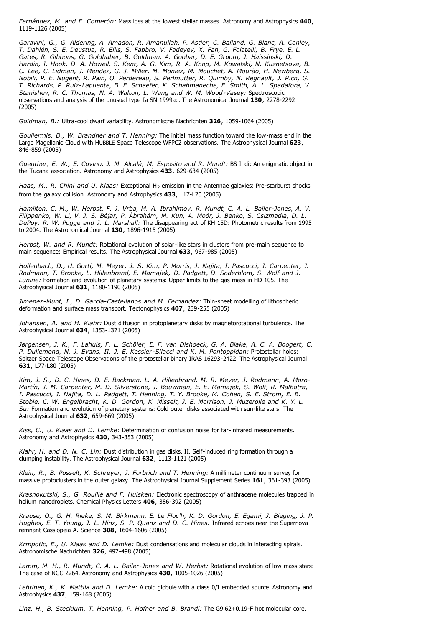*Fernández, M. and F. Comerón:* Mass loss at the lowest stellar masses. Astronomy and Astrophysics **440**, 1119-1126 (2005)

*Garavini, G., G. Aldering, A. Amadon, R. Amanullah, P. Astier, C. Balland, G. Blanc, A. Conley, T. Dahlén, S. E. Deustua, R. Ellis, S. Fabbro, V. Fadeyev, X. Fan, G. Folatelli, B. Frye, E. L. Gates, R. Gibbons, G. Goldhaber, B. Goldman, A. Goobar, D. E. Groom, J. Haissinski, D. Hardin, I. Hook, D. A. Howell, S. Kent, A. G. Kim, R. A. Knop, M. Kowalski, N. Kuznetsova, B. C. Lee, C. Lidman, J. Mendez, G. J. Miller, M. Moniez, M. Mouchet, A. Mourão, H. Newberg, S. Nobili, P. E. Nugent, R. Pain, O. Perdereau, S. Perlmutter, R. Quimby, N. Regnault, J. Rich, G. T. Richards, P. Ruiz-Lapuente, B. E. Schaefer, K. Schahmaneche, E. Smith, A. L. Spadafora, V. Stanishev, R. C. Thomas, N. A. Walton, L. Wang and W. M. Wood-Vasey:* Spectroscopic observations and analysis of the unusual type Ia SN 1999ac. The Astronomical Journal **130**, 2278-2292 (2005)

*Goldman, B.:* Ultra-cool dwarf variability. Astronomische Nachrichten **326**, 1059-1064 (2005)

*Gouliermis, D., W. Brandner and T. Henning:* The initial mass function toward the low-mass end in the Large Magellanic Cloud with HUBBLE Space Telescope WFPC2 observations. The Astrophysical Journal **623**, 846-859 (2005)

*Guenther, E. W., E. Covino, J. M. Alcalá, M. Esposito and R. Mundt:* BS Indi: An enigmatic object in the Tucana association. Astronomy and Astrophysics **433**, 629-634 (2005)

*Haas, M., R. Chini and U. Klaas: Exceptional H<sub>2</sub> emission in the Antennae galaxies: Pre-starburst shocks* from the galaxy collision. Astronomy and Astrophysics **433**, L17-L20 (2005)

*Hamilton, C. M., W. Herbst, F. J. Vrba, M. A. Ibrahimov, R. Mundt, C. A. L. Bailer-Jones, A. V. Filippenko, W. Li, V. J. S. Béjar, P. Ábrahám, M. Kun, A. Moór, J. Benko, S. Csizmadia, D. L. DePoy, R. W. Pogge and J. L. Marshall:* The disappearing act of KH 15D: Photometric results from 1995 to 2004. The Astronomical Journal **130**, 1896-1915 (2005)

*Herbst, W. and R. Mundt:* Rotational evolution of solar-like stars in clusters from pre-main sequence to main sequence: Empirical results. The Astrophysical Journal **633**, 967-985 (2005)

*Hollenbach, D., U. Gorti, M. Meyer, J. S. Kim, P. Morris, J. Najita, I. Pascucci, J. Carpenter, J. Rodmann, T. Brooke, L. Hillenbrand, E. Mamajek, D. Padgett, D. Soderblom, S. Wolf and J. Lunine:* Formation and evolution of planetary systems: Upper limits to the gas mass in HD 105. The Astrophysical Journal **631**, 1180-1190 (2005)

*Jimenez-Munt, I., D. Garcia-Castellanos and M. Fernandez:* Thin-sheet modelling of lithospheric deformation and surface mass transport. Tectonophysics **407**, 239-255 (2005)

*Johansen, A. and H. Klahr:* Dust diffusion in protoplanetary disks by magnetorotational turbulence. The Astrophysical Journal **634**, 1353-1371 (2005)

*Jørgensen, J. K., F. Lahuis, F. L. Schöier, E. F. van Dishoeck, G. A. Blake, A. C. A. Boogert, C. P. Dullemond, N. J. Evans, II, J. E. Kessler-Silacci and K. M. Pontoppidan:* Protostellar holes: Spitzer Space Telescope Observations of the protostellar binary IRAS 16293-2422. The Astrophysical Journal **631**, L77-L80 (2005)

*Kim, J. S., D. C. Hines, D. E. Backman, L. A. Hillenbrand, M. R. Meyer, J. Rodmann, A. Moro-Martín, J. M. Carpenter, M. D. Silverstone, J. Bouwman, E. E. Mamajek, S. Wolf, R. Malhotra, I. Pascucci, J. Najita, D. L. Padgett, T. Henning, T. Y. Brooke, M. Cohen, S. E. Strom, E. B. Stobie, C. W. Engelbracht, K. D. Gordon, K. Misselt, J. E. Morrison, J. Muzerolle and K. Y. L. Su:* Formation and evolution of planetary systems: Cold outer disks associated with sun-like stars. The Astrophysical Journal **632**, 659-669 (2005)

*Kiss, C., U. Klaas and D. Lemke:* Determination of confusion noise for far-infrared measurements. Astronomy and Astrophysics **430**, 343-353 (2005)

*Klahr, H. and D. N. C. Lin:* Dust distribution in gas disks. II. Self-induced ring formation through a clumping instability. The Astrophysical Journal **632**, 1113-1121 (2005)

*Klein, R., B. Posselt, K. Schreyer, J. Forbrich and T. Henning:* A millimeter continuum survey for massive protoclusters in the outer galaxy. The Astrophysical Journal Supplement Series **161**, 361-393 (2005)

*Krasnokutski, S., G. Rouillé and F. Huisken:* Electronic spectroscopy of anthracene molecules trapped in helium nanodroplets. Chemical Physics Letters **406**, 386-392 (2005)

*Krause, O., G. H. Rieke, S. M. Birkmann, E. Le Floc'h, K. D. Gordon, E. Egami, J. Bieging, J. P. Hughes, E. T. Young, J. L. Hinz, S. P. Quanz and D. C. Hines:* Infrared echoes near the Supernova remnant Cassiopeia A. Science **308**, 1604-1606 (2005)

*Krmpotic, E., U. Klaas and D. Lemke:* Dust condensations and molecular clouds in interacting spirals. Astronomische Nachrichten **326**, 497-498 (2005)

*Lamm, M. H., R. Mundt, C. A. L. Bailer-Jones and W. Herbst:* Rotational evolution of low mass stars: The case of NGC 2264. Astronomy and Astrophysics **430**, 1005-1026 (2005)

*Lehtinen, K., K. Mattila and D. Lemke:* A cold globule with a class 0/I embedded source. Astronomy and Astrophysics **437**, 159-168 (2005)

*Linz, H., B. Stecklum, T. Henning, P. Hofner and B. Brandl:* The G9.62+0.19-F hot molecular core.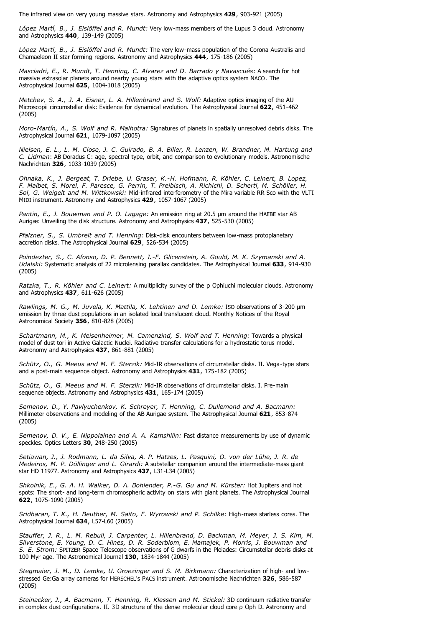The infrared view on very young massive stars. Astronomy and Astrophysics **429**, 903-921 (2005)

*López Martí, B., J. Eislöffel and R. Mundt:* Very low-mass members of the Lupus 3 cloud. Astronomy and Astrophysics **440**, 139-149 (2005)

*López Martí, B., J. Eislöffel and R. Mundt:* The very low-mass population of the Corona Australis and Chamaeleon II star forming regions. Astronomy and Astrophysics **444**, 175-186 (2005)

*Masciadri, E., R. Mundt, T. Henning, C. Alvarez and D. Barrado y Navascués:* A search for hot massive extrasolar planets around nearby young stars with the adaptive optics system NACO. The Astrophysical Journal **625**, 1004-1018 (2005)

*Metchev, S. A., J. A. Eisner, L. A. Hillenbrand and S. Wolf:* Adaptive optics imaging of the AU Microscopii circumstellar disk: Evidence for dynamical evolution. The Astrophysical Journal **622**, 451-462 (2005)

*Moro-Martín, A., S. Wolf and R. Malhotra:* Signatures of planets in spatially unresolved debris disks. The Astrophysical Journal **621**, 1079-1097 (2005)

*Nielsen, E. L., L. M. Close, J. C. Guirado, B. A. Biller, R. Lenzen, W. Brandner, M. Hartung and C. Lidman*: AB Doradus C: age, spectral type, orbit, and comparison to evolutionary models. Astronomische Nachrichten **326**, 1033-1039 (2005)

*Ohnaka, K., J. Bergeat, T. Driebe, U. Graser, K.-H. Hofmann, R. Köhler, C. Leinert, B. Lopez, F. Malbet, S. Morel, F. Paresce, G. Perrin, T. Preibisch, A. Richichi, D. Schertl, M. Schöller, H. Sol, G. Weigelt and M. Wittkowski:* Mid-infrared interferometry of the Mira variable RR Sco with the VLTI MIDI instrument. Astronomy and Astrophysics **429**, 1057-1067 (2005)

*Pantin, E., J. Bouwman and P. O. Lagage: An emission ring at 20.5 µm around the HAEBE star AB* Aurigæ: Unveiling the disk structure. Astronomy and Astrophysics **437**, 525-530 (2005)

*Pfalzner, S., S. Umbreit and T. Henning:* Disk-disk encounters between low-mass protoplanetary accretion disks. The Astrophysical Journal **629**, 526-534 (2005)

*Poindexter, S., C. Afonso, D. P. Bennett, J.-F. Glicenstein, A. Gould, M. K. Szymanski and A. Udalski:* Systematic analysis of 22 microlensing parallax candidates. The Astrophysical Journal **633**, 914-930 (2005)

*Ratzka, T., R. Köhler and C. Leinert: A multiplicity survey of the p Ophiuchi molecular clouds. Astronomy* and Astrophysics **437**, 611-626 (2005)

Rawlings, M. G., M. Juvela, K. Mattila, K. Lehtinen and D. Lemke: ISO observations of 3-200 µm emission by three dust populations in an isolated local translucent cloud. Monthly Notices of the Royal Astronomical Society **356**, 810-828 (2005)

*Schartmann, M., K. Meisenheimer, M. Camenzind, S. Wolf and T. Henning:* Towards a physical model of dust tori in Active Galactic Nuclei. Radiative transfer calculations for a hydrostatic torus model. Astronomy and Astrophysics **437**, 861-881 (2005)

*Schütz, O., G. Meeus and M. F. Sterzik:* Mid-IR observations of circumstellar disks. II. Vega-type stars and a post-main sequence object. Astronomy and Astrophysics **431**, 175-182 (2005)

*Schütz, O., G. Meeus and M. F. Sterzik:* Mid-IR observations of circumstellar disks. I. Pre-main sequence objects. Astronomy and Astrophysics **431**, 165-174 (2005)

*Semenov, D., Y. Pavlyuchenkov, K. Schreyer, T. Henning, C. Dullemond and A. Bacmann:* Millimeter observations and modeling of the AB Aurigae system. The Astrophysical Journal **621**, 853-874 (2005)

*Semenov, D. V., E. Nippolainen and A. A. Kamshilin:* Fast distance measurements by use of dynamic speckles. Optics Letters **30**, 248-250 (2005)

*Setiawan, J., J. Rodmann, L. da Silva, A. P. Hatzes, L. Pasquini, O. von der Lühe, J. R. de Medeiros, M. P. Döllinger and L. Girardi:* A substellar companion around the intermediate-mass giant star HD 11977. Astronomy and Astrophysics **437**, L31-L34 (2005)

*Shkolnik, E., G. A. H. Walker, D. A. Bohlender, P.-G. Gu and M. Kürster:* Hot Jupiters and hot spots: The short- and long-term chromospheric activity on stars with giant planets. The Astrophysical Journal **622**, 1075-1090 (2005)

*Sridharan, T. K., H. Beuther, M. Saito, F. Wyrowski and P. Schilke:* High-mass starless cores. The Astrophysical Journal **634**, L57-L60 (2005)

*Stauffer, J. R., L. M. Rebull, J. Carpenter, L. Hillenbrand, D. Backman, M. Meyer, J. S. Kim, M. Silverstone, E. Young, D. C. Hines, D. R. Soderblom, E. Mamajek, P. Morris, J. Bouwman and S. E. Strom:* SPITZER Space Telescope observations of G dwarfs in the Pleiades: Circumstellar debris disks at 100 Myr age. The Astronomical Journal **130**, 1834-1844 (2005)

*Stegmaier, J. M., D. Lemke, U. Groezinger and S. M. Birkmann:* Characterization of high- and lowstressed Ge:Ga array cameras for HERSCHEL's PACS instrument. Astronomische Nachrichten **326**, 586-587 (2005)

*Steinacker, J., A. Bacmann, T. Henning, R. Klessen and M. Stickel:* 3D continuum radiative transfer in complex dust configurations. II. 3D structure of the dense molecular cloud core  $\rho$  Oph D. Astronomy and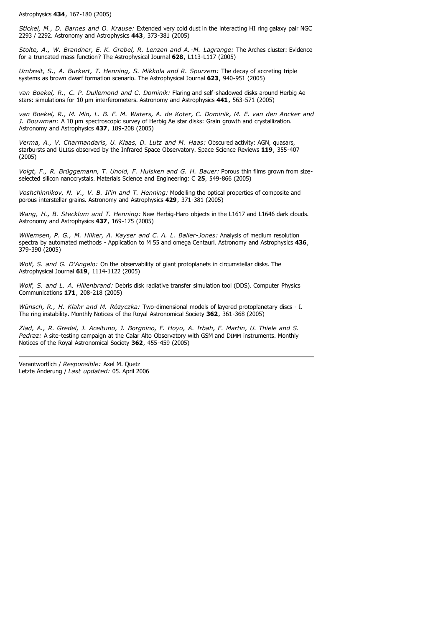Astrophysics **434**, 167-180 (2005)

*Stickel, M., D. Barnes and O. Krause:* Extended very cold dust in the interacting HI ring galaxy pair NGC 2293 / 2292. Astronomy and Astrophysics **443**, 373-381 (2005)

*Stolte, A., W. Brandner, E. K. Grebel, R. Lenzen and A.-M. Lagrange:* The Arches cluster: Evidence for a truncated mass function? The Astrophysical Journal **628**, L113-L117 (2005)

*Umbreit, S., A. Burkert, T. Henning, S. Mikkola and R. Spurzem:* The decay of accreting triple systems as brown dwarf formation scenario. The Astrophysical Journal **623**, 940-951 (2005)

*van Boekel, R., C. P. Dullemond and C. Dominik:* Flaring and self-shadowed disks around Herbig Ae stars: simulations for 10 µm interferometers. Astronomy and Astrophysics 441, 563-571 (2005)

*van Boekel, R., M. Min, L. B. F. M. Waters, A. de Koter, C. Dominik, M. E. van den Ancker and J. Bouwman:* A 10 µm spectroscopic survey of Herbig Ae star disks: Grain growth and crystallization. Astronomy and Astrophysics **437**, 189-208 (2005)

*Verma, A., V. Charmandaris, U. Klaas, D. Lutz and M. Haas:* Obscured activity: AGN, quasars, starbursts and ULIGs observed by the Infrared Space Observatory. Space Science Reviews **119**, 355-407 (2005)

*Voigt, F., R. Brüggemann, T. Unold, F. Huisken and G. H. Bauer:* Porous thin films grown from sizeselected silicon nanocrystals. Materials Science and Engineering: C **25**, 549-866 (2005)

*Voshchinnikov, N. V., V. B. Il'in and T. Henning:* Modelling the optical properties of composite and porous interstellar grains. Astronomy and Astrophysics **429**, 371-381 (2005)

*Wang, H., B. Stecklum and T. Henning:* New Herbig-Haro objects in the L1617 and L1646 dark clouds. Astronomy and Astrophysics **437**, 169-175 (2005)

*Willemsen, P. G., M. Hilker, A. Kayser and C. A. L. Bailer-Jones:* Analysis of medium resolution spectra by automated methods - Application to M 55 and omega Centauri. Astronomy and Astrophysics **436**, 379-390 (2005)

*Wolf, S. and G. D'Angelo:* On the observability of giant protoplanets in circumstellar disks. The Astrophysical Journal **619**, 1114-1122 (2005)

*Wolf, S. and L. A. Hillenbrand:* Debris disk radiative transfer simulation tool (DDS). Computer Physics Communications **171**, 208-218 (2005)

*Wünsch, R., H. Klahr and M. Rózyczka:* Two-dimensional models of layered protoplanetary discs - I. The ring instability. Monthly Notices of the Royal Astronomical Society **362**, 361-368 (2005)

*Ziad, A., R. Gredel, J. Aceituno, J. Borgnino, F. Hoyo, A. Irbah, F. Martin, U. Thiele and S. Pedraz:* A site-testing campaign at the Calar Alto Observatory with GSM and DIMM instruments. Monthly Notices of the Royal Astronomical Society **362**, 455-459 (2005)

Verantwortlich / *Responsible:* Axel M. Quetz Letzte Änderung / *Last updated:* 05. April 2006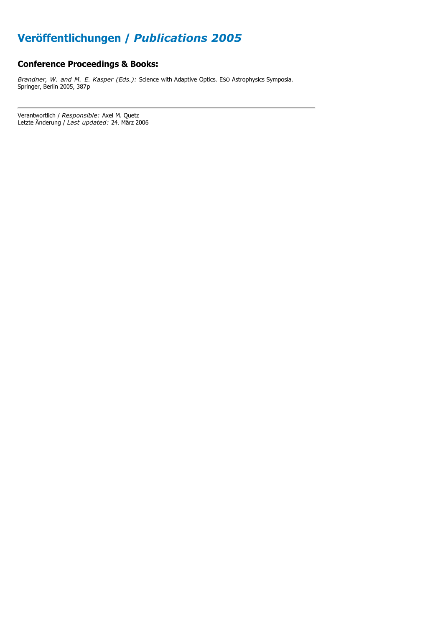# **Veröffentlichungen /** *Publications 2005*

### **Conference Proceedings & Books:**

*Brandner, W. and M. E. Kasper (Eds.):* Science with Adaptive Optics. ESO Astrophysics Symposia. Springer, Berlin 2005, 387p

Verantwortlich / *Responsible:* Axel M. Quetz Letzte Änderung / *Last updated:* 24. März 2006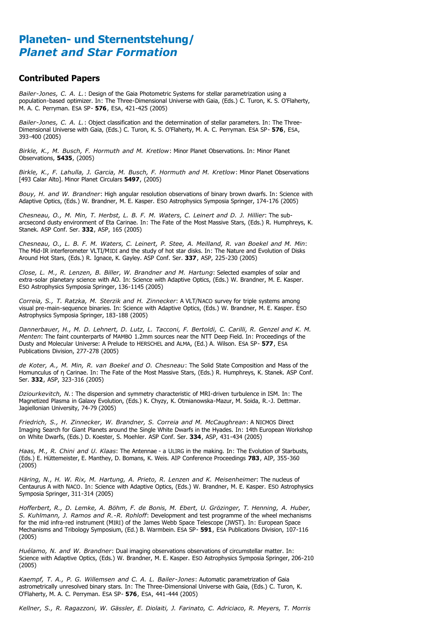## **Planeten- und Sternentstehung/** *Planet and Star Formation*

#### **Contributed Papers**

*Bailer-Jones, C. A. L.*: Design of the Gaia Photometric Systems for stellar parametrization using a population-based optimizer. In: The Three-Dimensional Universe with Gaia, (Eds.) C. Turon, K. S. O'Flaherty, M. A. C. Perryman. ESA SP- **576**, ESA, 421-425 (2005)

*Bailer-Jones, C. A. L.*: Object classification and the determination of stellar parameters. In: The Three-Dimensional Universe with Gaia, (Eds.) C. Turon, K. S. O'Flaherty, M. A. C. Perryman. ESA SP- **576**, ESA, 393-400 (2005)

*Birkle, K., M. Busch, F. Hormuth and M. Kretlow*: Minor Planet Observations. In: Minor Planet Observations, **5435**, (2005)

*Birkle, K., F. Lahulla, J. Garcia, M. Busch, F. Hormuth and M. Kretlow*: Minor Planet Observations [493 Calar Alto]. Minor Planet Circulars **5497**, (2005)

*Bouy, H. and W. Brandner*: High angular resolution observations of binary brown dwarfs. In: Science with Adaptive Optics, (Eds.) W. Brandner, M. E. Kasper. ESO Astrophysics Symposia Springer, 174-176 (2005)

*Chesneau, O., M. Min, T. Herbst, L. B. F. M. Waters, C. Leinert and D. J. Hillier*: The subarcsecond dusty environment of Eta Carinae. In: The Fate of the Most Massive Stars, (Eds.) R. Humphreys, K. Stanek. ASP Conf. Ser. **332**, ASP, 165 (2005)

*Chesneau, O., L. B. F. M. Waters, C. Leinert, P. Stee, A. Meilland, R. van Boekel and M. Min*: The Mid-IR interferometer VLTI/MIDI and the study of hot star disks. In: The Nature and Evolution of Disks Around Hot Stars, (Eds.) R. Ignace, K. Gayley. ASP Conf. Ser. **337**, ASP, 225-230 (2005)

*Close, L. M., R. Lenzen, B. Biller, W. Brandner and M. Hartung*: Selected examples of solar and extra-solar planetary science with AO. In: Science with Adaptive Optics, (Eds.) W. Brandner, M. E. Kasper. ESO Astrophysics Symposia Springer, 136-1145 (2005)

*Correia, S., T. Ratzka, M. Sterzik and H. Zinnecker*: A VLT/NACO survey for triple systems among visual pre-main-sequence binaries. In: Science with Adaptive Optics, (Eds.) W. Brandner, M. E. Kasper. ESO Astrophysics Symposia Springer, 183-188 (2005)

*Dannerbauer, H., M. D. Lehnert, D. Lutz, L. Tacconi, F. Bertoldi, C. Carilli, R. Genzel and K. M. Menten*: The faint counterparts of MAMBO 1.2mm sources near the NTT Deep Field. In: Proceedings of the Dusty and Molecular Universe: A Prelude to HERSCHEL and ALMA, (Ed.) A. Wilson. ESA SP- **577**, ESA Publications Division, 277-278 (2005)

*de Koter, A., M. Min, R. van Boekel and O. Chesneau*: The Solid State Composition and Mass of the Homunculus of n Carinae. In: The Fate of the Most Massive Stars, (Eds.) R. Humphreys, K. Stanek. ASP Conf. Ser. **332**, ASP, 323-316 (2005)

*Dziourkevitch, N.*: The dispersion and symmetry characteristic of MRI-driven turbulence in ISM. In: The Magnetized Plasma in Galaxy Evolution, (Eds.) K. Chyzy, K. Otmianowska-Mazur, M. Soida, R.-J. Dettmar. Jagiellonian University, 74-79 (2005)

*Friedrich, S., H. Zinnecker, W. Brandner, S. Correia and M. McCaughrean*: A NICMOS Direct Imaging Search for Giant Planets around the Single White Dwarfs in the Hyades. In: 14th European Workshop on White Dwarfs, (Eds.) D. Koester, S. Moehler. ASP Conf. Ser. **334**, ASP, 431-434 (2005)

*Haas, M., R. Chini and U. Klaas*: The Antennae - a ULIRG in the making. In: The Evolution of Starbusts, (Eds.) E. Hüttemeister, E. Manthey, D. Bomans, K. Weis. AIP Conference Proceedings **783**, AIP, 355-360 (2005)

*Häring, N., H. W. Rix, M. Hartung, A. Prieto, R. Lenzen and K. Meisenheimer*: The nucleus of Centaurus A with NACO. In: Science with Adaptive Optics, (Eds.) W. Brandner, M. E. Kasper. ESO Astrophysics Symposia Springer, 311-314 (2005)

*Hofferbert, R., D. Lemke, A. Böhm, F. de Bonis, M. Ebert, U. Grözinger, T. Henning, A. Huber, S. Kuhlmann, J. Ramos and R.-R. Rohloff*: Development and test programme of the wheel mechanisms for the mid infra-red instrument (MIRI) of the James Webb Space Telescope (JWST). In: European Space Mechanisms and Tribology Symposium, (Ed.) B. Warmbein. ESA SP- **591**, ESA Publications Division, 107-116 (2005)

*Huélamo, N. and W. Brandner*: Dual imaging observations observations of circumstellar matter. In: Science with Adaptive Optics, (Eds.) W. Brandner, M. E. Kasper. ESO Astrophysics Symposia Springer, 206-210 (2005)

*Kaempf, T. A., P. G. Willemsen and C. A. L. Bailer-Jones*: Automatic parametrization of Gaia astrometrically unresolved binary stars. In: The Three-Dimensional Universe with Gaia, (Eds.) C. Turon, K. O'Flaherty, M. A. C. Perryman. ESA SP- **576**, ESA, 441-444 (2005)

*Kellner, S., R. Ragazzoni, W. Gässler, E. Diolaiti, J. Farinato, C. Adriciaco, R. Meyers, T. Morris*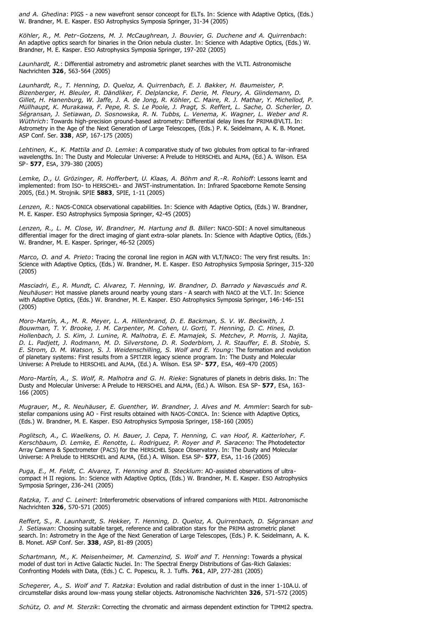*and A. Ghedina*: PIGS - a new wavefront sensor conceopt for ELTs. In: Science with Adaptive Optics, (Eds.) W. Brandner, M. E. Kasper. ESO Astrophysics Symposia Springer, 31-34 (2005)

*Köhler, R., M. Petr-Gotzens, M. J. McCaughrean, J. Bouvier, G. Duchene and A. Quirrenbach*: An adaptive optics search for binaries in the Orion nebula cluster. In: Science with Adaptive Optics, (Eds.) W. Brandner, M. E. Kasper. ESO Astrophysics Symposia Springer, 197-202 (2005)

*Launhardt, R.*: Differential astrometry and astrometric planet searches with the VLTI. Astronomische Nachrichten **326**, 563-564 (2005)

*Launhardt, R., T. Henning, D. Queloz, A. Quirrenbach, E. J. Bakker, H. Baumeister, P. Bizenberger, H. Bleuler, R. Dändliker, F. Delplancke, F. Derie, M. Fleury, A. Glindemann, D. Gillet, H. Hanenburg, W. Jaffe, J. A. de Jong, R. Köhler, C. Maire, R. J. Mathar, Y. Michellod, P. Müllhaupt, K. Murakawa, F. Pepe, R. S. Le Poole, J. Pragt, S. Reffert, L. Sache, O. Scherler, D. Ségransan, J. Setiawan, D. Sosnowska, R. N. Tubbs, L. Venema, K. Wagner, L. Weber and R. Wüthrich*: Towards high-precision ground-based astrometry: Differential delay lines for PRIMA@VLTI. In: Astrometry in the Age of the Next Generation of Large Telescopes, (Eds.) P. K. Seidelmann, A. K. B. Monet. ASP Conf. Ser. **338**, ASP, 167-175 (2005)

*Lehtinen, K., K. Mattila and D. Lemke*: A comparative study of two globules from optical to far-infrared wavelengths. In: The Dusty and Molecular Universe: A Prelude to HERSCHEL and ALMA, (Ed.) A. Wilson. ESA SP- **577**, ESA, 379-380 (2005)

*Lemke, D., U. Grözinger, R. Hofferbert, U. Klaas, A. Böhm and R.-R. Rohloff*: Lessons learnt and implemented: from ISO- to HERSCHEL- and JWST-instrumentation. In: Infrared Spaceborne Remote Sensing 2005, (Ed.) M. Strojnik. SPIE **5883**, SPIE, 1-11 (2005)

*Lenzen, R.*: NAOS-CONICA observational capabilities. In: Science with Adaptive Optics, (Eds.) W. Brandner, M. E. Kasper. ESO Astrophysics Symposia Springer, 42-45 (2005)

*Lenzen, R., L. M. Close, W. Brandner, M. Hartung and B. Biller*: NACO-SDI: A novel simultaneous differential imager for the direct imaging of giant extra-solar planets. In: Science with Adaptive Optics, (Eds.) W. Brandner, M. E. Kasper. Springer, 46-52 (2005)

*Marco, O. and A. Prieto*: Tracing the coronal line region in AGN with VLT/NACO: The very first results. In: Science with Adaptive Optics, (Eds.) W. Brandner, M. E. Kasper. ESO Astrophysics Symposia Springer, 315-320 (2005)

*Masciadri, E., R. Mundt, C. Alvarez, T. Henning, W. Brandner, D. Barrado y Navascués and R. Neuhäuser*: Hot massive planets around nearby young stars - A search with NACO at the VLT. In: Science with Adaptive Optics, (Eds.) W. Brandner, M. E. Kasper. ESO Astrophysics Symposia Springer, 146-146-151 (2005)

*Moro-Martín, A., M. R. Meyer, L. A. Hillenbrand, D. E. Backman, S. V. W. Beckwith, J. Bouwman, T. Y. Brooke, J. M. Carpenter, M. Cohen, U. Gorti, T. Henning, D. C. Hines, D. Hollenbach, J. S. Kim, J. Lunine, R. Malhotra, E. E. Mamajek, S. Metchev, P. Morris, J. Najita, D. L. Padjett, J. Rodmann, M. D. Silverstone, D. R. Soderblom, J. R. Stauffer, E. B. Stobie, S. E. Strom, D. M. Watson, S. J. Weidenschilling, S. Wolf and E. Young*: The formation and evolution of planetary systems: First results from a SPITZER legacy science program. In: The Dusty and Molecular Universe: A Prelude to HERSCHEL and ALMA, (Ed.) A. Wilson. ESA SP- **577**, ESA, 469-470 (2005)

*Moro-Martín, A., S. Wolf, R. Malhotra and G. H. Rieke*: Signatures of planets in debris disks. In: The Dusty and Molecular Universe: A Prelude to HERSCHEL and ALMA, (Ed.) A. Wilson. ESA SP- **577**, ESA, 163- 166 (2005)

*Mugrauer, M., R. Neuhäuser, E. Guenther, W. Brandner, J. Alves and M. Ammler*: Search for substellar companions using AO - First results obtained with NAOS-CONICA. In: Science with Adaptive Optics, (Eds.) W. Brandner, M. E. Kasper. ESO Astrophysics Symposia Springer, 158-160 (2005)

*Poglitsch, A., C. Waelkens, O. H. Bauer, J. Cepa, T. Henning, C. van Hoof, R. Katterloher, F. Kerschbaum, D. Lemke, E. Renotte, L. Rodriguez, P. Royer and P. Saraceno*: The Photodetector Array Camera & Spectrometer (PACS) for the HERSCHEL Space Observatory. In: The Dusty and Molecular Universe: A Prelude to HERSCHEL and ALMA, (Ed.) A. Wilson. ESA SP- **577**, ESA, 11-16 (2005)

*Puga, E., M. Feldt, C. Alvarez, T. Henning and B. Stecklum*: AO-assisted observations of ultracompact H II regions. In: Science with Adaptive Optics, (Eds.) W. Brandner, M. E. Kasper. ESO Astrophysics Symposia Springer, 236-241 (2005)

*Ratzka, T. and C. Leinert*: Interferometric observations of infrared companions with MIDI. Astronomische Nachrichten **326**, 570-571 (2005)

*Reffert, S., R. Launhardt, S. Hekker, T. Henning, D. Queloz, A. Quirrenbach, D. Ségransan and J. Setiawan*: Choosing suitable target, reference and calibration stars for the PRIMA astrometric planet search. In: Astrometry in the Age of the Next Generation of Large Telescopes, (Eds.) P. K. Seidelmann, A. K. B. Monet. ASP Conf. Ser. **338**, ASP, 81-89 (2005)

*Schartmann, M., K. Meisenheimer, M. Camenzind, S. Wolf and T. Henning*: Towards a physical model of dust tori in Active Galactic Nuclei. In: The Spectral Energy Distributions of Gas-Rich Galaxies: Confronting Models with Data, (Eds.) C. C. Popescu, R. J. Tuffs. **761**, AIP, 277-281 (2005)

*Schegerer, A., S. Wolf and T. Ratzka*: Evolution and radial distribution of dust in the inner 1-10A.U. of circumstellar disks around low-mass young stellar objects. Astronomische Nachrichten **326**, 571-572 (2005)

*Schütz, O. and M. Sterzik*: Correcting the chromatic and airmass dependent extinction for TIMMI2 spectra.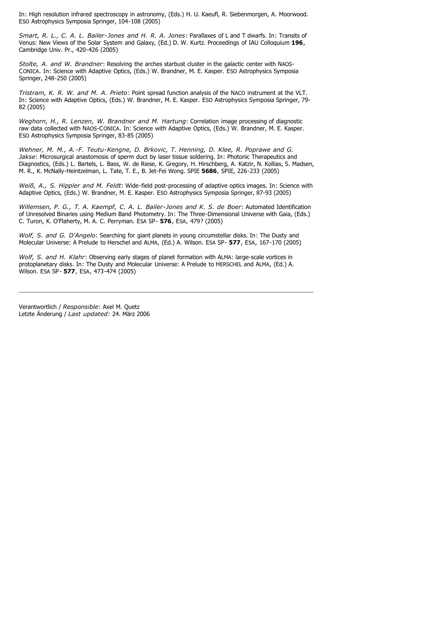In: High resolution infrared spectroscopy in astronomy, (Eds.) H. U. Kaeufl, R. Siebenmorgen, A. Moorwood. ESO Astrophysics Symposia Springer, 104-108 (2005)

*Smart, R. L., C. A. L. Bailer-Jones and H. R. A. Jones*: Parallaxes of L and T dwarfs. In: Transits of Venus: New Views of the Solar System and Galaxy, (Ed.) D. W. Kurtz. Proceedings of IAU Colloquium **196**, Cambridge Univ. Pr., 420-426 (2005)

*Stolte, A. and W. Brandner*: Resolving the arches starbust cluster in the galactic center with NAOS-CONICA. In: Science with Adaptive Optics, (Eds.) W. Brandner, M. E. Kasper. ESO Astrophysics Symposia Springer, 248-250 (2005)

*Tristram, K. R. W. and M. A. Prieto*: Point spread function analysis of the NACO instrument at the VLT. In: Science with Adaptive Optics, (Eds.) W. Brandner, M. E. Kasper. ESO Astrophysics Symposia Springer, 79- 82 (2005)

*Weghorn, H., R. Lenzen, W. Brandner and M. Hartung*: Correlation image processing of diagnostic raw data collected with NAOS-CONICA. In: Science with Adaptive Optics, (Eds.) W. Brandner, M. E. Kasper. ESO Astrophysics Symposia Springer, 83-85 (2005)

*Wehner, M. M., A.-F. Teutu-Kengne, D. Brkovic, T. Henning, D. Klee, R. Poprawe and G. Jakse*: Microsurgical anastomosis of sperm duct by laser tissue soldering. In: Photonic Therapeutics and Diagnostics, (Eds.) L. Bartels, L. Bass, W. de Riese, K. Gregory, H. Hirschberg, A. Katzir, N. Kollias, S. Madsen, M. R., K. McNally-Heintzelman, L. Tate, T. E., B. Jet-Fei Wong. SPIE **5686**, SPIE, 226-233 (2005)

*Weiß, A., S. Hippler and M. Feldt*: Wide-field post-processing of adaptive optics images. In: Science with Adaptive Optics, (Eds.) W. Brandner, M. E. Kasper. ESO Astrophysics Symposia Springer, 87-93 (2005)

*Willemsen, P. G., T. A. Kaempf, C. A. L. Bailer-Jones and K. S. de Boer*: Automated Identification of Unresolved Binaries using Medium Band Photometry. In: The Three-Dimensional Universe with Gaia, (Eds.) C. Turon, K. O'Flaherty, M. A. C. Perryman. ESA SP- **576**, ESA, 479? (2005)

*Wolf, S. and G. D'Angelo*: Searching for giant planets in young circumstellar disks. In: The Dusty and Molecular Universe: A Prelude to Herschel and ALMA, (Ed.) A. Wilson. ESA SP- **577**, ESA, 167-170 (2005)

*Wolf, S. and H. Klahr*: Observing early stages of planet formation with ALMA: large-scale vortices in protoplanetary disks. In: The Dusty and Molecular Universe: A Prelude to HERSCHEL and ALMA, (Ed.) A. Wilson. ESA SP- **577**, ESA, 473-474 (2005)

Verantwortlich / *Responsible*: Axel M. Quetz Letzte Änderung / *Last updated:* 24. März 2006